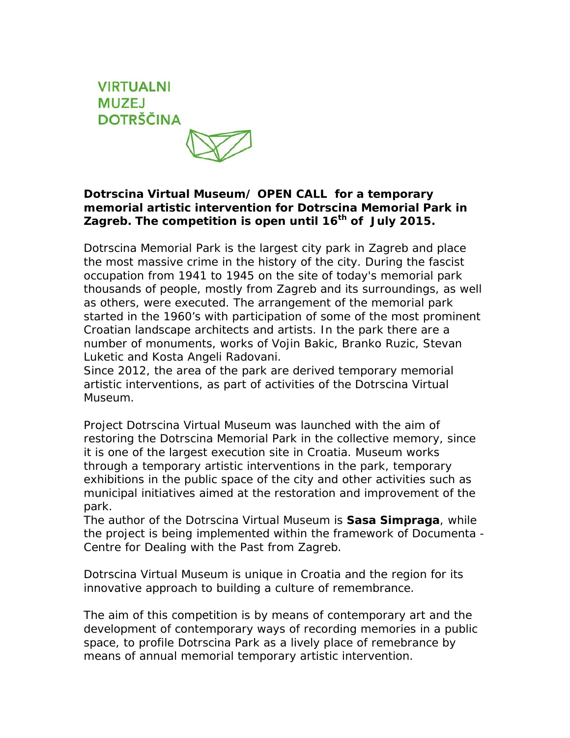## **VIRTUALNI MUZEJ DOTRŠČINA**

## **Dotrscina Virtual Museum/ OPEN CALL for a temporary memorial artistic intervention for Dotrscina Memorial Park in Zagreb. The competition is open until 16th of July 2015.**

Dotrscina Memorial Park is the largest city park in Zagreb and place the most massive crime in the history of the city. During the fascist occupation from 1941 to 1945 on the site of today's memorial park thousands of people, mostly from Zagreb and its surroundings, as well as others, were executed. The arrangement of the memorial park started in the 1960's with participation of some of the most prominent Croatian landscape architects and artists. In the park there are a number of monuments, works of Vojin Bakic, Branko Ruzic, Stevan Luketic and Kosta Angeli Radovani.

Since 2012, the area of the park are derived temporary memorial artistic interventions, as part of activities of the Dotrscina Virtual Museum.

Project Dotrscina Virtual Museum was launched with the aim of restoring the Dotrscina Memorial Park in the collective memory, since it is one of the largest execution site in Croatia. Museum works through a temporary artistic interventions in the park, temporary exhibitions in the public space of the city and other activities such as municipal initiatives aimed at the restoration and improvement of the park.

The author of the Dotrscina Virtual Museum is **Sasa Simpraga**, while the project is being implemented within the framework of Documenta - Centre for Dealing with the Past from Zagreb.

Dotrscina Virtual Museum is unique in Croatia and the region for its innovative approach to building a culture of remembrance.

The aim of this competition is by means of contemporary art and the development of contemporary ways of recording memories in a public space, to profile Dotrscina Park as a lively place of remebrance by means of annual memorial temporary artistic intervention.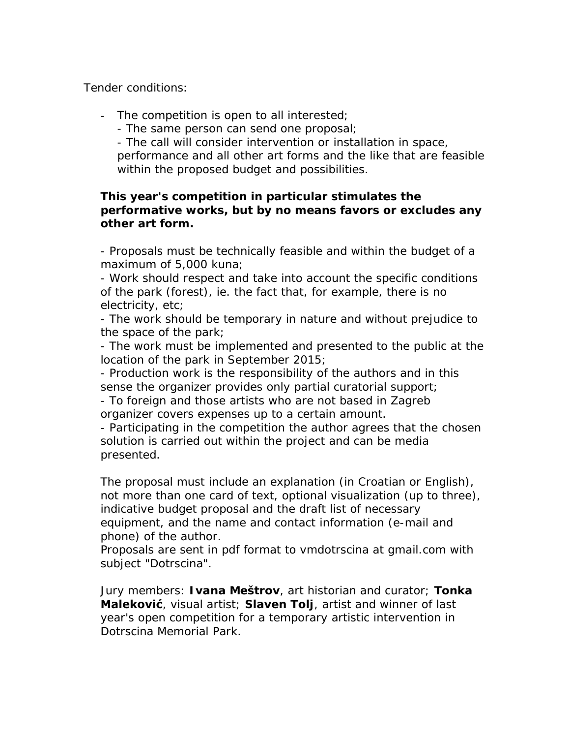Tender conditions:

- The competition is open to all interested;
	- The same person can send one proposal;
	- The call will consider intervention or installation in space,

performance and all other art forms and the like that are feasible within the proposed budget and possibilities.

## **This year's competition in particular stimulates the performative works, but by no means favors or excludes any other art form.**

- Proposals must be technically feasible and within the budget of a maximum of 5,000 kuna;

- Work should respect and take into account the specific conditions of the park (forest), ie. the fact that, for example, there is no electricity, etc;

- The work should be temporary in nature and without prejudice to the space of the park;

- The work must be implemented and presented to the public at the location of the park in September 2015;

- Production work is the responsibility of the authors and in this sense the organizer provides only partial curatorial support;

- To foreign and those artists who are not based in Zagreb organizer covers expenses up to a certain amount.

- Participating in the competition the author agrees that the chosen solution is carried out within the project and can be media presented.

The proposal must include an explanation (in Croatian or English), not more than one card of text, optional visualization (up to three), indicative budget proposal and the draft list of necessary equipment, and the name and contact information (e-mail and phone) of the author.

Proposals are sent in pdf format to vmdotrscina at gmail.com with subject "Dotrscina".

Jury members: **Ivana Meštrov**, art historian and curator; **Tonka Maleković**, visual artist; **Slaven Tolj**, artist and winner of last year's open competition for a temporary artistic intervention in Dotrscina Memorial Park.